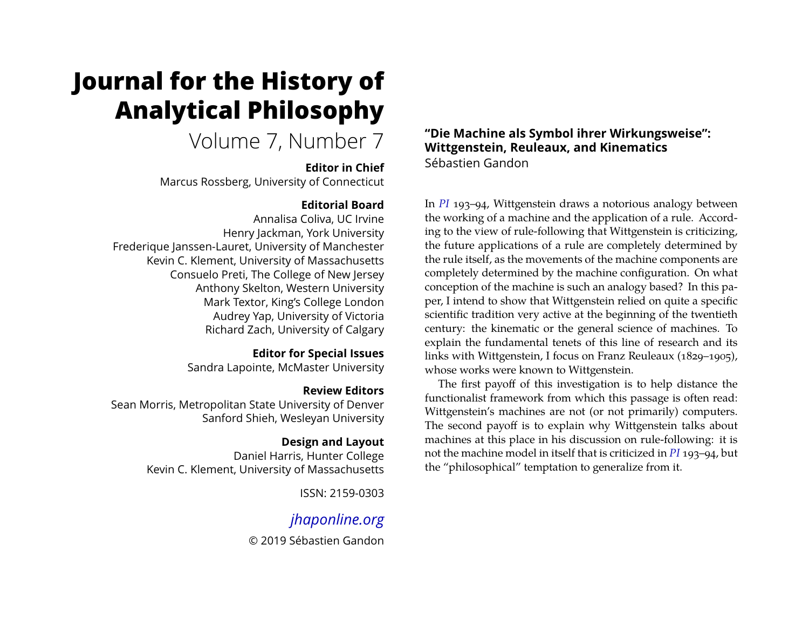# **Journal for the History of Analytical Philosophy**

## Volume 7, Number 7

#### **Editor in Chief**

Marcus Rossberg, University of Connecticut

## **Editorial Board**

Annalisa Coliva, UC Irvine Henry Jackman, York University Frederique Janssen-Lauret, University of Manchester Kevin C. Klement, University of Massachusetts Consuelo Preti, The College of New Jersey Anthony Skelton, Western University Mark Textor, King's College London Audrey Yap, University of Victoria Richard Zach, University of Calgary

## **Editor for Special Issues**

Sandra Lapointe, McMaster University

## **Review Editors**

Sean Morris, Metropolitan State University of Denver Sanford Shieh, Wesleyan University

## **Design and Layout**

Daniel Harris, Hunter College Kevin C. Klement, University of Massachusetts

ISSN: 2159-0303

## *[jhaponline.org](https://jhaponline.org)*

© 2019 Sébastien Gandon

#### **"Die Machine als Symbol ihrer Wirkungsweise": Wittgenstein, Reuleaux, and Kinematics** Sébastien Gandon

In *[PI](#page-18-0)* 193–94, Wittgenstein draws a notorious analogy between the working of a machine and the application of a rule. According to the view of rule-following that Wittgenstein is criticizing, the future applications of a rule are completely determined by the rule itself, as the movements of the machine components are completely determined by the machine configuration. On what conception of the machine is such an analogy based? In this paper, I intend to show that Wittgenstein relied on quite a specific scientific tradition very active at the beginning of the twentieth century: the kinematic or the general science of machines. To explain the fundamental tenets of this line of research and its links with Wittgenstein, I focus on Franz Reuleaux (1829–1905), whose works were known to Wittgenstein.

The first payoff of this investigation is to help distance the functionalist framework from which this passage is often read: Wittgenstein's machines are not (or not primarily) computers. The second payoff is to explain why Wittgenstein talks about machines at this place in his discussion on rule-following: it is not the machine model in itself that is criticized in *[PI](#page-18-0)* 193–94, but the "philosophical" temptation to generalize from it.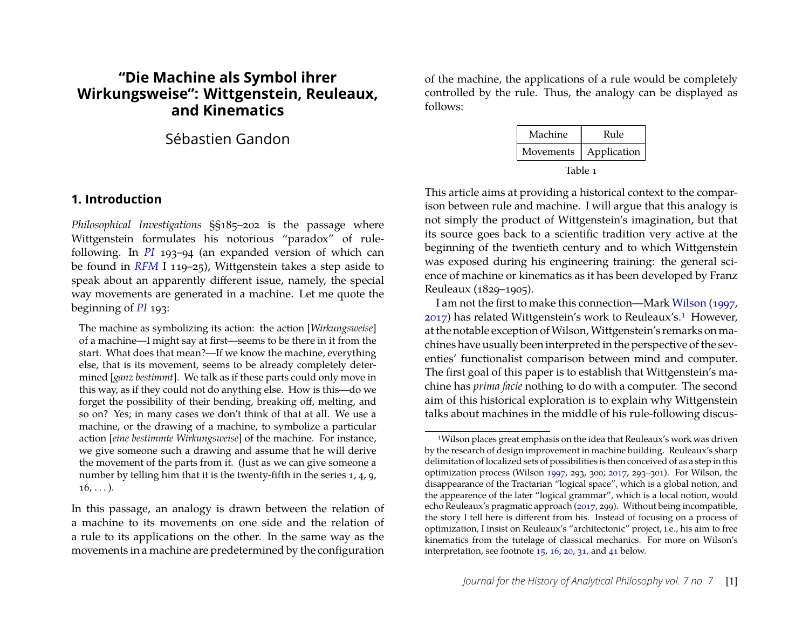## **"Die Machine als Symbol ihrer Wirkungsweise": Wittgenstein, Reuleaux, and Kinematics**

## Sébastien Gandon

#### <span id="page-1-1"></span>**1. Introduction**

*Philosophical Investigations* §§185–202 is the passage where Wittgenstein formulates his notorious "paradox" of rulefollowing. In *[PI](#page-18-0)* 193–94 (an expanded version of which can be found in *[RFM](#page-18-1)* I 119–25), Wittgenstein takes a step aside to speak about an apparently different issue, namely, the special way movements are generated in a machine. Let me quote the beginning of *[PI](#page-18-0)* 193:

The machine as symbolizing its action: the action [*Wirkungsweise*] of a machine—I might say at first—seems to be there in it from the start. What does that mean?—If we know the machine, everything else, that is its movement, seems to be already completely determined [*ganz bestimmt*]. We talk as if these parts could only move in this way, as if they could not do anything else. How is this—do we forget the possibility of their bending, breaking off, melting, and so on? Yes; in many cases we don't think of that at all. We use a machine, or the drawing of a machine, to symbolize a particular action [*eine bestimmte Wirkungsweise*] of the machine. For instance, we give someone such a drawing and assume that he will derive the movement of the parts from it. (Just as we can give someone a number by telling him that it is the twenty-fifth in the series 1, 4, 9,  $16, \ldots$ ).

In this passage, an analogy is drawn between the relation of a machine to its movements on one side and the relation of a rule to its applications on the other. In the same way as the movements in a machine are predetermined by the configuration of the machine, the applications of a rule would be completely controlled by the rule. Thus, the analogy can be displayed as follows:

| Machine                  | Rule |  |
|--------------------------|------|--|
| Movements    Application |      |  |
| Table 1                  |      |  |

This article aims at providing a historical context to the comparison between rule and machine. I will argue that this analogy is not simply the product of Wittgenstein's imagination, but that its source goes back to a scientific tradition very active at the beginning of the twentieth century and to which Wittgenstein was exposed during his engineering training: the general science of machine or kinematics as it has been developed by Franz Reuleaux (1829–1905).

I am not the first to make this connection—Mark [Wilson](#page-18-2) [\(1997,](#page-18-2) [2017\)](#page-18-3) has related Wittgenstein's work to Reuleaux's.[1](#page-1-0) However, at the notable exception of Wilson, Wittgenstein's remarks on machines have usually been interpreted in the perspective of the seventies' functionalist comparison between mind and computer. The first goal of this paper is to establish that Wittgenstein's machine has *prima facie* nothing to do with a computer. The second aim of this historical exploration is to explain why Wittgenstein talks about machines in the middle of his rule-following discus-

<span id="page-1-0"></span><sup>1</sup>Wilson places great emphasis on the idea that Reuleaux's work was driven by the research of design improvement in machine building. Reuleaux's sharp delimitation of localized sets of possibilities is then conceived of as a step in this optimization process (Wilson [1997,](#page-18-2) 293, 300; [2017,](#page-18-3) 293–301). For Wilson, the disappearance of the Tractarian "logical space", which is a global notion, and the appearence of the later "logical grammar", which is a local notion, would echo Reuleaux's pragmatic approach [\(2017,](#page-18-3) 299). Without being incompatible, the story I tell here is different from his. Instead of focusing on a process of optimization, I insist on Reuleaux's "architectonic" project, i.e., his aim to free kinematics from the tutelage of classical mechanics. For more on Wilson's interpretation, see footnote [15,](#page-6-0) [16,](#page-6-1) [20,](#page-9-0) [31,](#page-12-0) and [41](#page-16-0) below.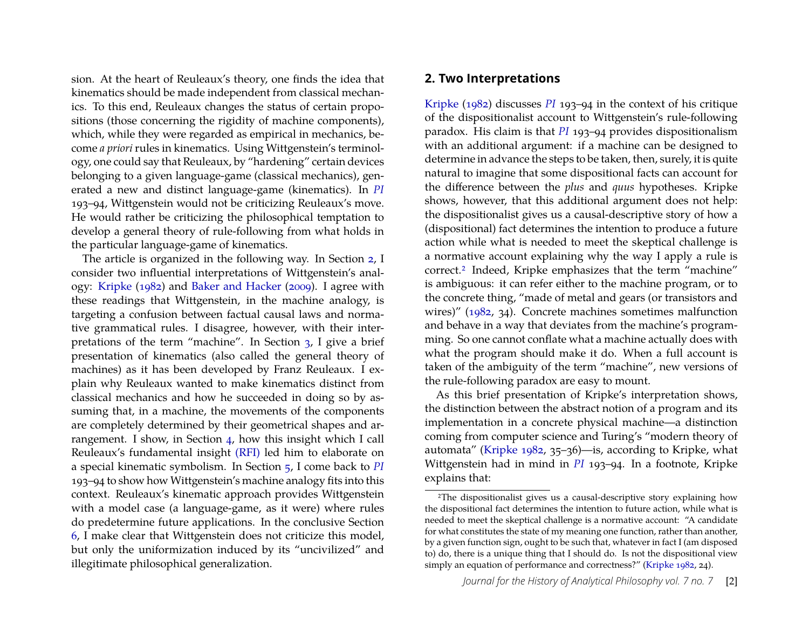sion. At the heart of Reuleaux's theory, one finds the idea that kinematics should be made independent from classical mechanics. To this end, Reuleaux changes the status of certain propositions (those concerning the rigidity of machine components), which, while they were regarded as empirical in mechanics, become *a priori* rules in kinematics. Using Wittgenstein's terminology, one could say that Reuleaux, by "hardening" certain devices belonging to a given language-game (classical mechanics), generated a new and distinct language-game (kinematics). In *[PI](#page-18-0)* 193–94, Wittgenstein would not be criticizing Reuleaux's move. He would rather be criticizing the philosophical temptation to develop a general theory of rule-following from what holds in the particular language-game of kinematics.

The article is organized in the following way. In Section [2,](#page-2-0) I consider two influential interpretations of Wittgenstein's analogy: [Kripke](#page-17-0) [\(1982\)](#page-17-0) and [Baker and Hacker](#page-17-1) [\(2009\)](#page-17-1). I agree with these readings that Wittgenstein, in the machine analogy, is targeting a confusion between factual causal laws and normative grammatical rules. I disagree, however, with their interpretations of the term "machine". In Section [3,](#page-5-0) I give a brief presentation of kinematics (also called the general theory of machines) as it has been developed by Franz Reuleaux. I explain why Reuleaux wanted to make kinematics distinct from classical mechanics and how he succeeded in doing so by assuming that, in a machine, the movements of the components are completely determined by their geometrical shapes and arrangement. I show, in Section [4,](#page-9-1) how this insight which I call Reuleaux's fundamental insight [\(RFI\)](#page-8-0) led him to elaborate on a special kinematic symbolism. In Section [5,](#page-12-1) I come back to *[PI](#page-18-0)* 193–94 to show how Wittgenstein's machine analogy fits into this context. Reuleaux's kinematic approach provides Wittgenstein with a model case (a language-game, as it were) where rules do predetermine future applications. In the conclusive Section [6,](#page-14-0) I make clear that Wittgenstein does not criticize this model, but only the uniformization induced by its "uncivilized" and illegitimate philosophical generalization.

#### <span id="page-2-0"></span>**2. Two Interpretations**

[Kripke](#page-17-0) [\(1982\)](#page-17-0) discusses *[PI](#page-18-0)* 193–94 in the context of his critique of the dispositionalist account to Wittgenstein's rule-following paradox. His claim is that *[PI](#page-18-0)* 193–94 provides dispositionalism with an additional argument: if a machine can be designed to determine in advance the steps to be taken, then, surely, it is quite natural to imagine that some dispositional facts can account for the difference between the *plus* and *quus* hypotheses. Kripke shows, however, that this additional argument does not help: the dispositionalist gives us a causal-descriptive story of how a (dispositional) fact determines the intention to produce a future action while what is needed to meet the skeptical challenge is a normative account explaining why the way I apply a rule is correct.[2](#page-2-1) Indeed, Kripke emphasizes that the term "machine" is ambiguous: it can refer either to the machine program, or to the concrete thing, "made of metal and gears (or transistors and wires)" [\(1982,](#page-17-0) 34). Concrete machines sometimes malfunction and behave in a way that deviates from the machine's programming. So one cannot conflate what a machine actually does with what the program should make it do. When a full account is taken of the ambiguity of the term "machine", new versions of the rule-following paradox are easy to mount.

As this brief presentation of Kripke's interpretation shows, the distinction between the abstract notion of a program and its implementation in a concrete physical machine—a distinction coming from computer science and Turing's "modern theory of automata" [\(Kripke 1982,](#page-17-0) 35–36)—is, according to Kripke, what Wittgenstein had in mind in *[PI](#page-18-0)* 193–94. In a footnote, Kripke explains that:

<span id="page-2-1"></span><sup>2</sup>The dispositionalist gives us a causal-descriptive story explaining how the dispositional fact determines the intention to future action, while what is needed to meet the skeptical challenge is a normative account: "A candidate for what constitutes the state of my meaning one function, rather than another, by a given function sign, ought to be such that, whatever in fact I (am disposed to) do, there is a unique thing that I should do. Is not the dispositional view simply an equation of performance and correctness?" [\(Kripke 1982,](#page-17-0) 24).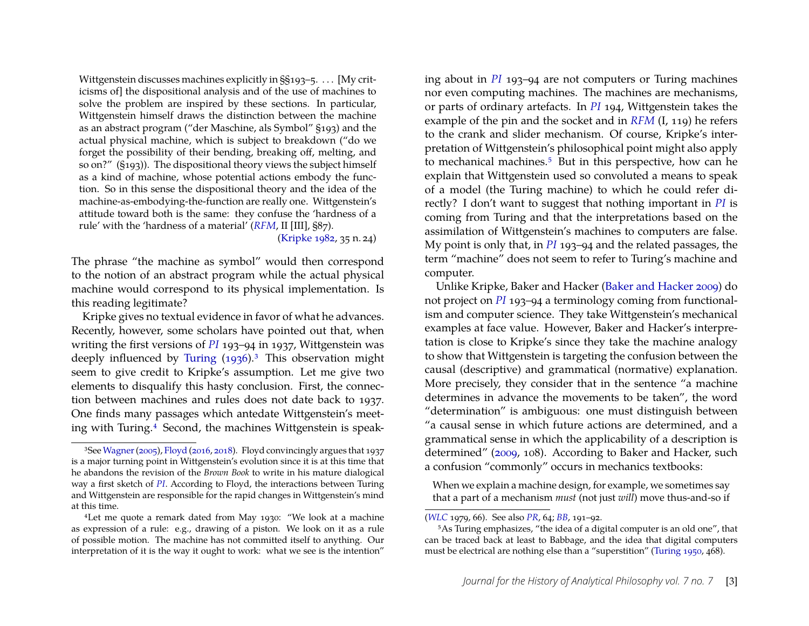Wittgenstein discusses machines explicitly in §§193–5. . . . [My criticisms of] the dispositional analysis and of the use of machines to solve the problem are inspired by these sections. In particular, Wittgenstein himself draws the distinction between the machine as an abstract program ("der Maschine, als Symbol" §193) and the actual physical machine, which is subject to breakdown ("do we forget the possibility of their bending, breaking off, melting, and so on?" (§193)). The dispositional theory views the subject himself as a kind of machine, whose potential actions embody the function. So in this sense the dispositional theory and the idea of the machine-as-embodying-the-function are really one. Wittgenstein's attitude toward both is the same: they confuse the 'hardness of a rule' with the 'hardness of a material' (*[RFM](#page-18-1)*, II [III], §87). [\(Kripke 1982,](#page-17-0) 35 n. 24)

The phrase "the machine as symbol" would then correspond to the notion of an abstract program while the actual physical machine would correspond to its physical implementation. Is this reading legitimate?

Kripke gives no textual evidence in favor of what he advances. Recently, however, some scholars have pointed out that, when writing the first versions of *[PI](#page-18-0)* 193–94 in 1937, Wittgenstein was deeply influenced by [Turing](#page-18-4) [\(1936\)](#page-18-4).<sup>[3](#page-3-0)</sup> This observation might seem to give credit to Kripke's assumption. Let me give two elements to disqualify this hasty conclusion. First, the connection between machines and rules does not date back to 1937. One finds many passages which antedate Wittgenstein's meet-ing with Turing.<sup>[4](#page-3-1)</sup> Second, the machines Wittgenstein is speaking about in *[PI](#page-18-0)* 193–94 are not computers or Turing machines nor even computing machines. The machines are mechanisms, or parts of ordinary artefacts. In *[PI](#page-18-0)* 194, Wittgenstein takes the example of the pin and the socket and in *[RFM](#page-18-1)* (I, 119) he refers to the crank and slider mechanism. Of course, Kripke's interpretation of Wittgenstein's philosophical point might also apply to mechanical machines.<sup>[5](#page-3-2)</sup> But in this perspective, how can he explain that Wittgenstein used so convoluted a means to speak of a model (the Turing machine) to which he could refer directly? I don't want to suggest that nothing important in *[PI](#page-18-0)* is coming from Turing and that the interpretations based on the assimilation of Wittgenstein's machines to computers are false. My point is only that, in *[PI](#page-18-0)* 193–94 and the related passages, the term "machine" does not seem to refer to Turing's machine and computer.

Unlike Kripke, Baker and Hacker [\(Baker and Hacker 2009\)](#page-17-1) do not project on *[PI](#page-18-0)* 193–94 a terminology coming from functionalism and computer science. They take Wittgenstein's mechanical examples at face value. However, Baker and Hacker's interpretation is close to Kripke's since they take the machine analogy to show that Wittgenstein is targeting the confusion between the causal (descriptive) and grammatical (normative) explanation. More precisely, they consider that in the sentence "a machine determines in advance the movements to be taken", the word "determination" is ambiguous: one must distinguish between "a causal sense in which future actions are determined, and a grammatical sense in which the applicability of a description is determined" [\(2009,](#page-17-1) 108). According to Baker and Hacker, such a confusion "commonly" occurs in mechanics textbooks:

When we explain a machine design, for example, we sometimes say that a part of a mechanism *must* (not just *will*) move thus-and-so if

<span id="page-3-0"></span><sup>3</sup>See[Wagner\(2005\)](#page-18-5), [Floyd](#page-17-2) [\(2016,](#page-17-2) [2018\)](#page-17-3). Floyd convincingly argues that 1937 is a major turning point in Wittgenstein's evolution since it is at this time that he abandons the revision of the *Brown Book* to write in his mature dialogical way a first sketch of *[PI](#page-18-0)*. According to Floyd, the interactions between Turing and Wittgenstein are responsible for the rapid changes in Wittgenstein's mind at this time.

<span id="page-3-1"></span><sup>4</sup>Let me quote a remark dated from May 1930: "We look at a machine as expression of a rule: e.g., drawing of a piston. We look on it as a rule of possible motion. The machine has not committed itself to anything. Our interpretation of it is the way it ought to work: what we see is the intention"

<sup>(</sup>*[WLC](#page-18-6)* 1979, 66). See also *[PR](#page-18-7)*, 64; *[BB](#page-18-8)*, 191–92.

<span id="page-3-2"></span><sup>5</sup>As Turing emphasizes, "the idea of a digital computer is an old one", that can be traced back at least to Babbage, and the idea that digital computers must be electrical are nothing else than a "superstition" [\(Turing 1950,](#page-18-9) 468).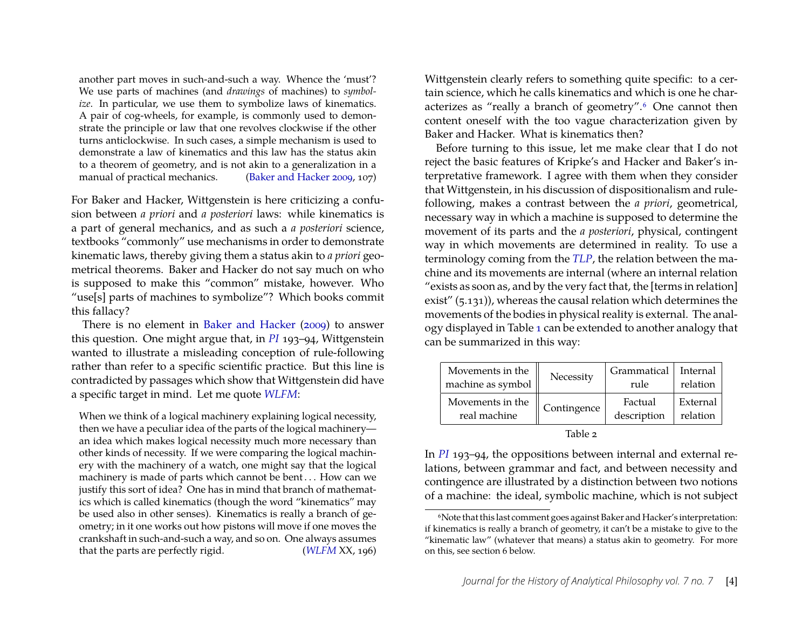another part moves in such-and-such a way. Whence the 'must'? We use parts of machines (and *drawings* of machines) to *symbolize*. In particular, we use them to symbolize laws of kinematics. A pair of cog-wheels, for example, is commonly used to demonstrate the principle or law that one revolves clockwise if the other turns anticlockwise. In such cases, a simple mechanism is used to demonstrate a law of kinematics and this law has the status akin to a theorem of geometry, and is not akin to a generalization in a manual of practical mechanics. [\(Baker and Hacker 2009,](#page-17-1) 107)

For Baker and Hacker, Wittgenstein is here criticizing a confusion between *a priori* and *a posteriori* laws: while kinematics is a part of general mechanics, and as such a *a posteriori* science, textbooks "commonly" use mechanisms in order to demonstrate kinematic laws, thereby giving them a status akin to *a priori* geometrical theorems. Baker and Hacker do not say much on who is supposed to make this "common" mistake, however. Who "use[s] parts of machines to symbolize"? Which books commit this fallacy?

There is no element in [Baker and Hacker](#page-17-1) [\(2009\)](#page-17-1) to answer this question. One might argue that, in *[PI](#page-18-0)* 193–94, Wittgenstein wanted to illustrate a misleading conception of rule-following rather than refer to a specific scientific practice. But this line is contradicted by passages which show that Wittgenstein did have a specific target in mind. Let me quote *[WLFM](#page-18-10)*:

When we think of a logical machinery explaining logical necessity, then we have a peculiar idea of the parts of the logical machinery an idea which makes logical necessity much more necessary than other kinds of necessity. If we were comparing the logical machinery with the machinery of a watch, one might say that the logical machinery is made of parts which cannot be bent . . . How can we justify this sort of idea? One has in mind that branch of mathematics which is called kinematics (though the word "kinematics" may be used also in other senses). Kinematics is really a branch of geometry; in it one works out how pistons will move if one moves the crankshaft in such-and-such a way, and so on. One always assumes that the parts are perfectly rigid. (*[WLFM](#page-18-10)* XX, 196) Wittgenstein clearly refers to something quite specific: to a certain science, which he calls kinematics and which is one he char-acterizes as "really a branch of geometry".<sup>[6](#page-4-0)</sup> One cannot then content oneself with the too vague characterization given by Baker and Hacker. What is kinematics then?

Before turning to this issue, let me make clear that I do not reject the basic features of Kripke's and Hacker and Baker's interpretative framework. I agree with them when they consider that Wittgenstein, in his discussion of dispositionalism and rulefollowing, makes a contrast between the *a priori*, geometrical, necessary way in which a machine is supposed to determine the movement of its parts and the *a posteriori*, physical, contingent way in which movements are determined in reality. To use a terminology coming from the *[TLP](#page-18-11)*, the relation between the machine and its movements are internal (where an internal relation "exists as soon as, and by the very fact that, the [terms in relation] exist" (5.131)), whereas the causal relation which determines the movements of the bodies in physical reality is external. The analogy displayed in Table [1](#page-1-1) can be extended to another analogy that can be summarized in this way:

| Movements in the  | Necessity   | Grammatical | Internal |
|-------------------|-------------|-------------|----------|
| machine as symbol |             | rule        | relation |
| Movements in the  | Contingence | Factual     | External |
| real machine      |             | description | relation |

| abie |  |
|------|--|
|------|--|

In *[PI](#page-18-0)* 193–94, the oppositions between internal and external relations, between grammar and fact, and between necessity and contingence are illustrated by a distinction between two notions of a machine: the ideal, symbolic machine, which is not subject

<span id="page-4-0"></span><sup>6</sup>Note that this last comment goes against Baker and Hacker's interpretation: if kinematics is really a branch of geometry, it can't be a mistake to give to the "kinematic law" (whatever that means) a status akin to geometry. For more on this, see section 6 below.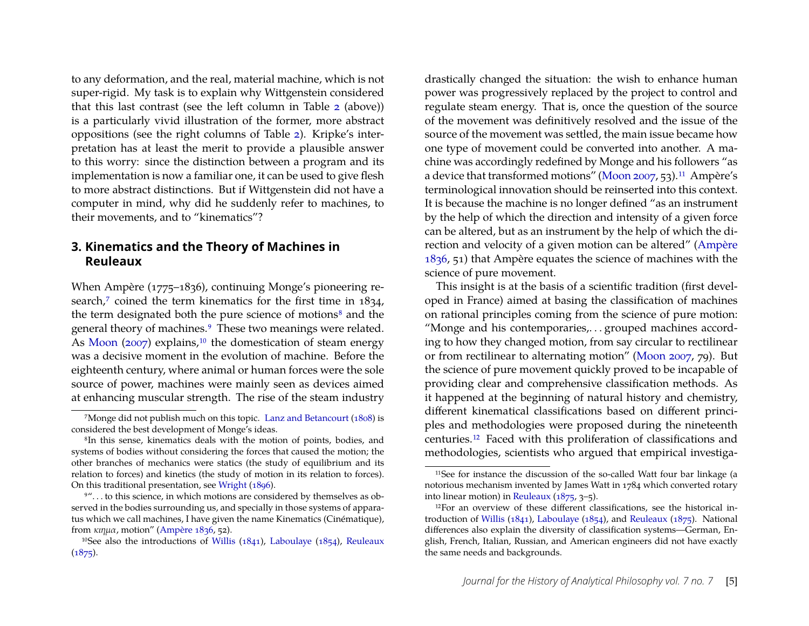to any deformation, and the real, material machine, which is not super-rigid. My task is to explain why Wittgenstein considered that this last contrast (see the left column in Table [2](#page-2-0) (above)) is a particularly vivid illustration of the former, more abstract oppositions (see the right columns of Table [2\)](#page-2-0). Kripke's interpretation has at least the merit to provide a plausible answer to this worry: since the distinction between a program and its implementation is now a familiar one, it can be used to give flesh to more abstract distinctions. But if Wittgenstein did not have a computer in mind, why did he suddenly refer to machines, to their movements, and to "kinematics"?

#### <span id="page-5-0"></span>**3. Kinematics and the Theory of Machines in Reuleaux**

When Ampère (1775–1836), continuing Monge's pioneering re-search,<sup>[7](#page-5-1)</sup> coined the term kinematics for the first time in 1834, the term designated both the pure science of motions<sup>[8](#page-5-2)</sup> and the general theory of machines.<sup>[9](#page-5-3)</sup> These two meanings were related. As [Moon](#page-17-4) [\(2007\)](#page-17-4) explains, $10$  the domestication of steam energy was a decisive moment in the evolution of machine. Before the eighteenth century, where animal or human forces were the sole source of power, machines were mainly seen as devices aimed at enhancing muscular strength. The rise of the steam industry

drastically changed the situation: the wish to enhance human power was progressively replaced by the project to control and regulate steam energy. That is, once the question of the source of the movement was definitively resolved and the issue of the source of the movement was settled, the main issue became how one type of movement could be converted into another. A machine was accordingly redefined by Monge and his followers "as a device that transformed motions" [\(Moon 2007,](#page-17-4) 53).[11](#page-5-5) Ampère's terminological innovation should be reinserted into this context. It is because the machine is no longer defined "as an instrument by the help of which the direction and intensity of a given force can be altered, but as an instrument by the help of which the direction and velocity of a given motion can be altered" [\(Ampère](#page-17-6) [1836,](#page-17-6) 51) that Ampère equates the science of machines with the science of pure movement.

This insight is at the basis of a scientific tradition (first developed in France) aimed at basing the classification of machines on rational principles coming from the science of pure motion: "Monge and his contemporaries,. . . grouped machines according to how they changed motion, from say circular to rectilinear or from rectilinear to alternating motion" [\(Moon 2007,](#page-17-4) 79). But the science of pure movement quickly proved to be incapable of providing clear and comprehensive classification methods. As it happened at the beginning of natural history and chemistry, different kinematical classifications based on different principles and methodologies were proposed during the nineteenth centuries.[12](#page-5-6) Faced with this proliferation of classifications and methodologies, scientists who argued that empirical investiga-

<span id="page-5-1"></span><sup>7</sup>Monge did not publish much on this topic. [Lanz and Betancourt](#page-17-5) [\(1808\)](#page-17-5) is considered the best development of Monge's ideas.

<span id="page-5-2"></span><sup>8</sup>In this sense, kinematics deals with the motion of points, bodies, and systems of bodies without considering the forces that caused the motion; the other branches of mechanics were statics (the study of equilibrium and its relation to forces) and kinetics (the study of motion in its relation to forces). On this traditional presentation, see [Wright](#page-18-12) [\(1896\)](#page-18-12).

<span id="page-5-3"></span><sup>&</sup>lt;sup>9"</sup>... to this science, in which motions are considered by themselves as observed in the bodies surrounding us, and specially in those systems of apparatus which we call machines, I have given the name Kinematics (Cinématique), from κιηµα, motion" [\(Ampère 1836,](#page-17-6) 52).

<span id="page-5-4"></span><sup>&</sup>lt;sup>10</sup>See also the introductions of [Willis](#page-18-13) [\(1841\)](#page-18-13), [Laboulaye](#page-17-7) [\(1854\)](#page-17-7), [Reuleaux](#page-17-8)  $(1875).$  $(1875).$ 

<span id="page-5-5"></span><sup>&</sup>lt;sup>11</sup>See for instance the discussion of the so-called Watt four bar linkage (a notorious mechanism invented by James Watt in 1784 which converted rotary into linear motion) in [Reuleaux](#page-17-8) [\(1875,](#page-17-8) 3–5).

<span id="page-5-6"></span><sup>12</sup>For an overview of these different classifications, see the historical introduction of [Willis](#page-18-13) [\(1841\)](#page-18-13), [Laboulaye](#page-17-7) [\(1854\)](#page-17-7), and [Reuleaux](#page-17-8) [\(1875\)](#page-17-8). National differences also explain the diversity of classification systems—German, English, French, Italian, Russian, and American engineers did not have exactly the same needs and backgrounds.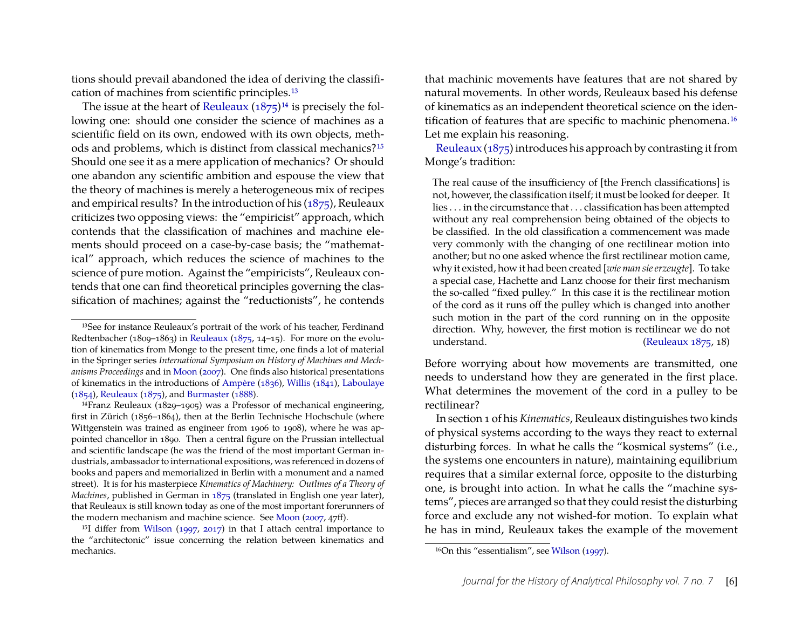tions should prevail abandoned the idea of deriving the classification of machines from scientific principles.[13](#page-6-2)

The issue at the heart of [Reuleaux](#page-17-8)  $(1875)^{14}$  $(1875)^{14}$  $(1875)^{14}$  $(1875)^{14}$  is precisely the following one: should one consider the science of machines as a scientific field on its own, endowed with its own objects, methods and problems, which is distinct from classical mechanics?[15](#page-6-0) Should one see it as a mere application of mechanics? Or should one abandon any scientific ambition and espouse the view that the theory of machines is merely a heterogeneous mix of recipes and empirical results? In the introduction of his [\(1875\)](#page-17-8), Reuleaux criticizes two opposing views: the "empiricist" approach, which contends that the classification of machines and machine elements should proceed on a case-by-case basis; the "mathematical" approach, which reduces the science of machines to the science of pure motion. Against the "empiricists", Reuleaux contends that one can find theoretical principles governing the classification of machines; against the "reductionists", he contends that machinic movements have features that are not shared by natural movements. In other words, Reuleaux based his defense of kinematics as an independent theoretical science on the iden-tification of features that are specific to machinic phenomena.<sup>[16](#page-6-1)</sup> Let me explain his reasoning.

[Reuleaux](#page-17-8) [\(1875\)](#page-17-8) introduces his approach by contrasting it from Monge's tradition:

The real cause of the insufficiency of [the French classifications] is not, however, the classification itself; it must be looked for deeper. It lies . . . in the circumstance that . . . classification has been attempted without any real comprehension being obtained of the objects to be classified. In the old classification a commencement was made very commonly with the changing of one rectilinear motion into another; but no one asked whence the first rectilinear motion came, why it existed, how it had been created [*wie man sie erzeugte*]. To take a special case, Hachette and Lanz choose for their first mechanism the so-called "fixed pulley." In this case it is the rectilinear motion of the cord as it runs off the pulley which is changed into another such motion in the part of the cord running on in the opposite direction. Why, however, the first motion is rectilinear we do not understand. [\(Reuleaux 1875,](#page-17-8) 18)

Before worrying about how movements are transmitted, one needs to understand how they are generated in the first place. What determines the movement of the cord in a pulley to be rectilinear?

In section 1 of his*Kinematics*, Reuleaux distinguishes two kinds of physical systems according to the ways they react to external disturbing forces. In what he calls the "kosmical systems" (i.e., the systems one encounters in nature), maintaining equilibrium requires that a similar external force, opposite to the disturbing one, is brought into action. In what he calls the "machine systems", pieces are arranged so that they could resist the disturbing force and exclude any not wished-for motion. To explain what he has in mind, Reuleaux takes the example of the movement

<span id="page-6-2"></span><sup>13</sup>See for instance Reuleaux's portrait of the work of his teacher, Ferdinand Redtenbacher (1809–1863) in [Reuleaux](#page-17-8) [\(1875,](#page-17-8) 14–15). For more on the evolution of kinematics from Monge to the present time, one finds a lot of material in the Springer series *International Symposium on History of Machines and Mechanisms Proceedings* and in [Moon](#page-17-4) [\(2007\)](#page-17-4). One finds also historical presentations of kinematics in the introductions of [Ampère](#page-17-6) [\(1836\)](#page-17-6), [Willis](#page-18-13) [\(1841\)](#page-18-13), [Laboulaye](#page-17-7) [\(1854\)](#page-17-7), [Reuleaux](#page-17-8) [\(1875\)](#page-17-8), and [Burmaster](#page-17-9) [\(1888\)](#page-17-9).

<span id="page-6-3"></span><sup>14</sup>Franz Reuleaux (1829–1905) was a Professor of mechanical engineering, first in Zürich (1856–1864), then at the Berlin Technische Hochschule (where Wittgenstein was trained as engineer from 1906 to 1908), where he was appointed chancellor in 1890. Then a central figure on the Prussian intellectual and scientific landscape (he was the friend of the most important German industrials, ambassador to international expositions, was referenced in dozens of books and papers and memorialized in Berlin with a monument and a named street). It is for his masterpiece *Kinematics of Machinery: Outlines of a Theory of Machines*, published in German in [1875](#page-17-8) (translated in English one year later), that Reuleaux is still known today as one of the most important forerunners of the modern mechanism and machine science. See [Moon](#page-17-4) [\(2007,](#page-17-4) 47ff).

<span id="page-6-0"></span><sup>&</sup>lt;sup>15</sup>I differ from [Wilson](#page-18-2) [\(1997,](#page-18-2) [2017\)](#page-18-3) in that I attach central importance to the "architectonic" issue concerning the relation between kinematics and mechanics.

<span id="page-6-1"></span><sup>16</sup>On this "essentialism", see [Wilson](#page-18-2) [\(1997\)](#page-18-2).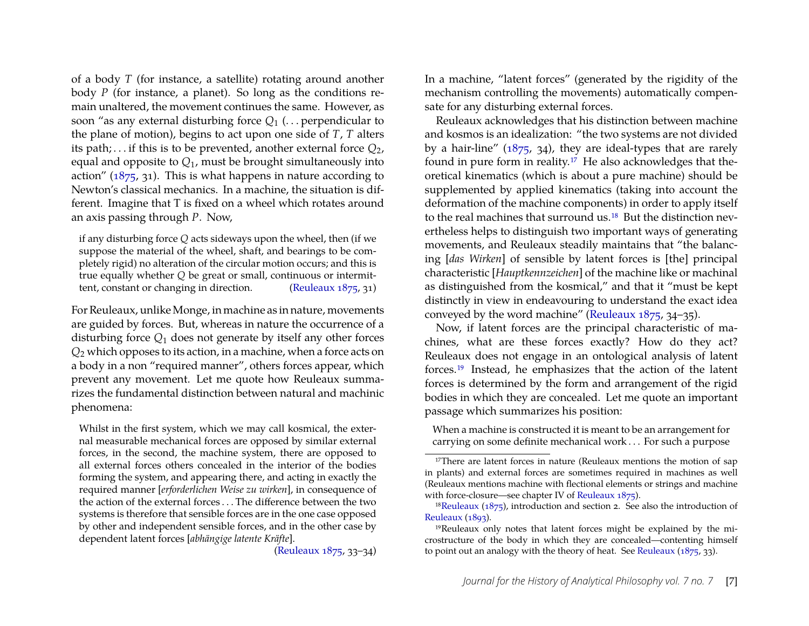of a body *T* (for instance, a satellite) rotating around another body *P* (for instance, a planet). So long as the conditions remain unaltered, the movement continues the same. However, as soon "as any external disturbing force  $Q_1$  (... perpendicular to the plane of motion), begins to act upon one side of *T*, *T* alters its path;... if this is to be prevented, another external force  $Q_2$ , equal and opposite to *Q*1, must be brought simultaneously into action" [\(1875,](#page-17-8) 31). This is what happens in nature according to Newton's classical mechanics. In a machine, the situation is different. Imagine that T is fixed on a wheel which rotates around an axis passing through *P*. Now,

if any disturbing force *Q* acts sideways upon the wheel, then (if we suppose the material of the wheel, shaft, and bearings to be completely rigid) no alteration of the circular motion occurs; and this is true equally whether *Q* be great or small, continuous or intermittent, constant or changing in direction. [\(Reuleaux 1875,](#page-17-8) 31)

For Reuleaux, unlike Monge, in machine as in nature, movements are guided by forces. But, whereas in nature the occurrence of a disturbing force *Q*1 does not generate by itself any other forces *Q*2 which opposes to its action, in a machine, when a force acts on a body in a non "required manner", others forces appear, which prevent any movement. Let me quote how Reuleaux summarizes the fundamental distinction between natural and machinic phenomena:

Whilst in the first system, which we may call kosmical, the external measurable mechanical forces are opposed by similar external forces, in the second, the machine system, there are opposed to all external forces others concealed in the interior of the bodies forming the system, and appearing there, and acting in exactly the required manner [*erforderlichen Weise zu wirken*], in consequence of the action of the external forces . . . The difference between the two systems is therefore that sensible forces are in the one case opposed by other and independent sensible forces, and in the other case by dependent latent forces [*abhängige latente Kräfte*].

In a machine, "latent forces" (generated by the rigidity of the mechanism controlling the movements) automatically compensate for any disturbing external forces.

Reuleaux acknowledges that his distinction between machine and kosmos is an idealization: "the two systems are not divided by a hair-line" [\(1875,](#page-17-8) 34), they are ideal-types that are rarely found in pure form in reality.[17](#page-7-0) He also acknowledges that theoretical kinematics (which is about a pure machine) should be supplemented by applied kinematics (taking into account the deformation of the machine components) in order to apply itself to the real machines that surround us.<sup>[18](#page-7-1)</sup> But the distinction nevertheless helps to distinguish two important ways of generating movements, and Reuleaux steadily maintains that "the balancing [*das Wirken*] of sensible by latent forces is [the] principal characteristic [*Hauptkennzeichen*] of the machine like or machinal as distinguished from the kosmical," and that it "must be kept distinctly in view in endeavouring to understand the exact idea conveyed by the word machine" [\(Reuleaux 1875,](#page-17-8) 34–35).

Now, if latent forces are the principal characteristic of machines, what are these forces exactly? How do they act? Reuleaux does not engage in an ontological analysis of latent forces.[19](#page-7-2) Instead, he emphasizes that the action of the latent forces is determined by the form and arrangement of the rigid bodies in which they are concealed. Let me quote an important passage which summarizes his position:

When a machine is constructed it is meant to be an arrangement for carrying on some definite mechanical work . . . For such a purpose

[<sup>\(</sup>Reuleaux 1875,](#page-17-8) 33–34)

<span id="page-7-0"></span><sup>&</sup>lt;sup>17</sup>There are latent forces in nature (Reuleaux mentions the motion of sap in plants) and external forces are sometimes required in machines as well (Reuleaux mentions machine with flectional elements or strings and machine with force-closure—see chapter IV of [Reuleaux 1875\)](#page-17-8).

<span id="page-7-1"></span><sup>&</sup>lt;sup>18</sup>[Reuleaux](#page-17-8) [\(1875\)](#page-17-8), introduction and section 2. See also the introduction of [Reuleaux](#page-18-14) [\(1893\)](#page-18-14).

<span id="page-7-2"></span><sup>&</sup>lt;sup>19</sup>Reuleaux only notes that latent forces might be explained by the microstructure of the body in which they are concealed—contenting himself to point out an analogy with the theory of heat. See [Reuleaux](#page-17-8) [\(1875,](#page-17-8) 33).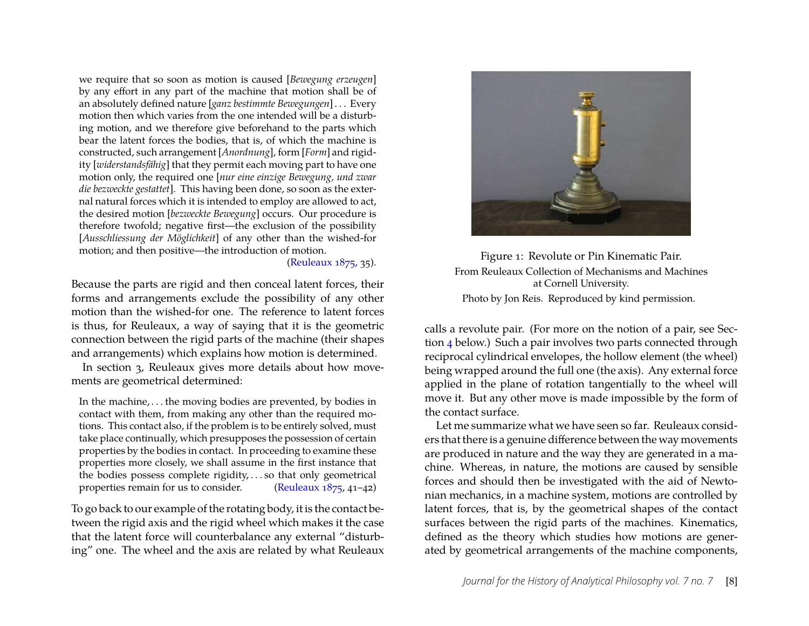we require that so soon as motion is caused [*Bewegung erzeugen*] by any effort in any part of the machine that motion shall be of an absolutely defined nature [*ganz bestimmte Bewegungen*] . . . Every motion then which varies from the one intended will be a disturbing motion, and we therefore give beforehand to the parts which bear the latent forces the bodies, that is, of which the machine is constructed, such arrangement [*Anordnung*], form [*Form*] and rigidity [*widerstandsfähig*] that they permit each moving part to have one motion only, the required one [*nur eine einzige Bewegung, und zwar die bezweckte gestattet*]. This having been done, so soon as the external natural forces which it is intended to employ are allowed to act, the desired motion [*bezweckte Bewegung*] occurs. Our procedure is therefore twofold; negative first—the exclusion of the possibility [*Ausschliessung der Möglichkeit*] of any other than the wished-for motion; and then positive—the introduction of motion.

[\(Reuleaux 1875,](#page-17-8) 35).

Because the parts are rigid and then conceal latent forces, their forms and arrangements exclude the possibility of any other motion than the wished-for one. The reference to latent forces is thus, for Reuleaux, a way of saying that it is the geometric connection between the rigid parts of the machine (their shapes and arrangements) which explains how motion is determined.

In section 3, Reuleaux gives more details about how movements are geometrical determined:

In the machine, . . . the moving bodies are prevented, by bodies in contact with them, from making any other than the required motions. This contact also, if the problem is to be entirely solved, must take place continually, which presupposes the possession of certain properties by the bodies in contact. In proceeding to examine these properties more closely, we shall assume in the first instance that the bodies possess complete rigidity, . . . so that only geometrical properties remain for us to consider. [\(Reuleaux 1875,](#page-17-8) 41–42)

To go back to our example of the rotating body, it is the contact between the rigid axis and the rigid wheel which makes it the case that the latent force will counterbalance any external "disturbing" one. The wheel and the axis are related by what Reuleaux



Figure 1: Revolute or Pin Kinematic Pair. From Reuleaux Collection of Mechanisms and Machines at Cornell University. Photo by Jon Reis. Reproduced by kind permission.

<span id="page-8-0"></span>calls a revolute pair. (For more on the notion of a pair, see Section [4](#page-9-1) below.) Such a pair involves two parts connected through reciprocal cylindrical envelopes, the hollow element (the wheel) being wrapped around the full one (the axis). Any external force applied in the plane of rotation tangentially to the wheel will move it. But any other move is made impossible by the form of the contact surface.

Let me summarize what we have seen so far. Reuleaux considers that there is a genuine difference between the way movements are produced in nature and the way they are generated in a machine. Whereas, in nature, the motions are caused by sensible forces and should then be investigated with the aid of Newtonian mechanics, in a machine system, motions are controlled by latent forces, that is, by the geometrical shapes of the contact surfaces between the rigid parts of the machines. Kinematics, defined as the theory which studies how motions are generated by geometrical arrangements of the machine components,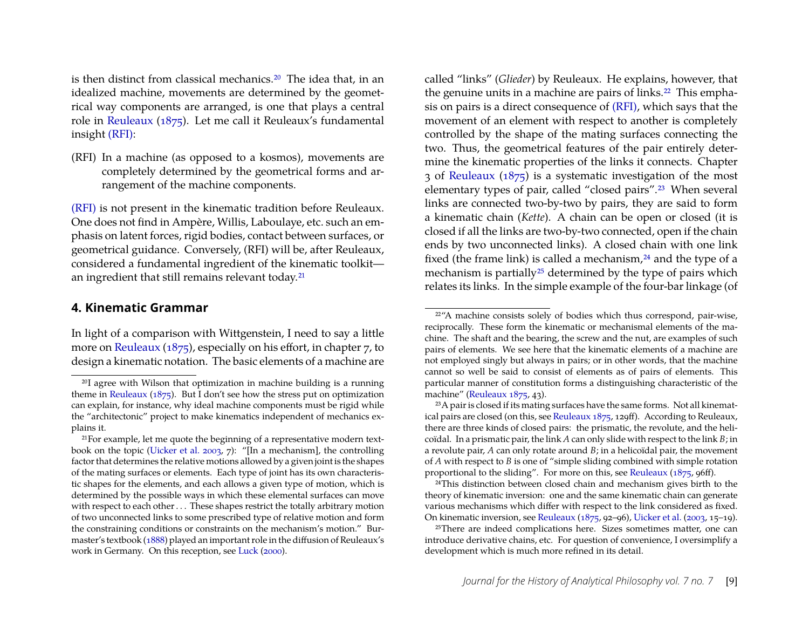is then distinct from classical mechanics.<sup>[20](#page-9-0)</sup> The idea that, in an idealized machine, movements are determined by the geometrical way components are arranged, is one that plays a central role in [Reuleaux](#page-17-8) [\(1875\)](#page-17-8). Let me call it Reuleaux's fundamental insight [\(RFI\):](#page-8-0)

(RFI) In a machine (as opposed to a kosmos), movements are completely determined by the geometrical forms and arrangement of the machine components.

[\(RFI\)](#page-8-0) is not present in the kinematic tradition before Reuleaux. One does not find in Ampère, Willis, Laboulaye, etc. such an emphasis on latent forces, rigid bodies, contact between surfaces, or geometrical guidance. Conversely, (RFI) will be, after Reuleaux, considered a fundamental ingredient of the kinematic toolkit— an ingredient that still remains relevant today.<sup>[21](#page-9-2)</sup>

#### <span id="page-9-1"></span>**4. Kinematic Grammar**

In light of a comparison with Wittgenstein, I need to say a little more on [Reuleaux](#page-17-8) [\(1875\)](#page-17-8), especially on his effort, in chapter 7, to design a kinematic notation. The basic elements of a machine are called "links" (*Glieder*) by Reuleaux. He explains, however, that the genuine units in a machine are pairs of links.<sup>[22](#page-9-3)</sup> This emphasis on pairs is a direct consequence of [\(RFI\),](#page-8-0) which says that the movement of an element with respect to another is completely controlled by the shape of the mating surfaces connecting the two. Thus, the geometrical features of the pair entirely determine the kinematic properties of the links it connects. Chapter 3 of [Reuleaux](#page-17-8) [\(1875\)](#page-17-8) is a systematic investigation of the most elementary types of pair, called "closed pairs".[23](#page-9-4) When several links are connected two-by-two by pairs, they are said to form a kinematic chain (*Kette*). A chain can be open or closed (it is closed if all the links are two-by-two connected, open if the chain ends by two unconnected links). A closed chain with one link fixed (the frame link) is called a mechanism, $24$  and the type of a mechanism is partially<sup>[25](#page-9-6)</sup> determined by the type of pairs which relates its links. In the simple example of the four-bar linkage (of

<span id="page-9-0"></span><sup>&</sup>lt;sup>20</sup>I agree with Wilson that optimization in machine building is a running theme in [Reuleaux](#page-17-8) ( $1875$ ). But I don't see how the stress put on optimization can explain, for instance, why ideal machine components must be rigid while the "architectonic" project to make kinematics independent of mechanics explains it.

<span id="page-9-2"></span><sup>21</sup>For example, let me quote the beginning of a representative modern textbook on the topic [\(Uicker et al. 2003,](#page-18-15) 7): "[In a mechanism], the controlling factor that determines the relative motions allowed by a given joint is the shapes of the mating surfaces or elements. Each type of joint has its own characteristic shapes for the elements, and each allows a given type of motion, which is determined by the possible ways in which these elemental surfaces can move with respect to each other . . . These shapes restrict the totally arbitrary motion of two unconnected links to some prescribed type of relative motion and form the constraining conditions or constraints on the mechanism's motion." Burmaster's textbook [\(1888\)](#page-17-9) played an important role in the diffusion of Reuleaux's work in Germany. On this reception, see [Luck](#page-17-10) [\(2000\)](#page-17-10).

<span id="page-9-3"></span><sup>22</sup>"A machine consists solely of bodies which thus correspond, pair-wise, reciprocally. These form the kinematic or mechanismal elements of the machine. The shaft and the bearing, the screw and the nut, are examples of such pairs of elements. We see here that the kinematic elements of a machine are not employed singly but always in pairs; or in other words, that the machine cannot so well be said to consist of elements as of pairs of elements. This particular manner of constitution forms a distinguishing characteristic of the machine" [\(Reuleaux 1875,](#page-17-8) 43).

<span id="page-9-4"></span><sup>23</sup>A pair is closed if its mating surfaces have the same forms. Not all kinematical pairs are closed (on this, see [Reuleaux 1875,](#page-17-8) 129ff). According to Reuleaux, there are three kinds of closed pairs: the prismatic, the revolute, and the helicoïdal. In a prismatic pair, the link *A* can only slide with respect to the link *B*; in a revolute pair, *A* can only rotate around *B*; in a helicoïdal pair, the movement of *A* with respect to *B* is one of "simple sliding combined with simple rotation proportional to the sliding". For more on this, see [Reuleaux](#page-17-8) [\(1875,](#page-17-8) 96ff).

<span id="page-9-5"></span><sup>24</sup>This distinction between closed chain and mechanism gives birth to the theory of kinematic inversion: one and the same kinematic chain can generate various mechanisms which differ with respect to the link considered as fixed. On kinematic inversion, see [Reuleaux](#page-17-8) [\(1875,](#page-17-8) 92–96), [Uicker et al.](#page-18-15) [\(2003,](#page-18-15) 15–19).

<span id="page-9-6"></span><sup>&</sup>lt;sup>25</sup>There are indeed complications here. Sizes sometimes matter, one can introduce derivative chains, etc. For question of convenience, I oversimplify a development which is much more refined in its detail.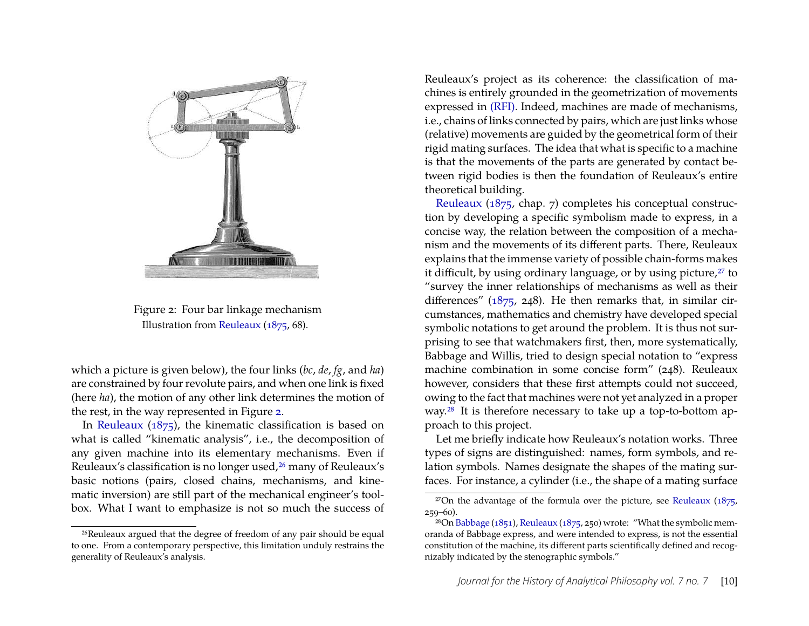

Figure 2: Four bar linkage mechanism Illustration from [Reuleaux](#page-17-8) [\(1875,](#page-17-8) 68).

<span id="page-10-0"></span>which a picture is given below), the four links (*bc*, *de*, *fg*, and *ha*) are constrained by four revolute pairs, and when one link is fixed (here *ha*), the motion of any other link determines the motion of the rest, in the way represented in Figure [2.](#page-10-0)

In [Reuleaux](#page-17-8) [\(1875\)](#page-17-8), the kinematic classification is based on what is called "kinematic analysis", i.e., the decomposition of any given machine into its elementary mechanisms. Even if Reuleaux's classification is no longer used,<sup>[26](#page-10-1)</sup> many of Reuleaux's basic notions (pairs, closed chains, mechanisms, and kinematic inversion) are still part of the mechanical engineer's toolbox. What I want to emphasize is not so much the success of

Reuleaux's project as its coherence: the classification of machines is entirely grounded in the geometrization of movements expressed in [\(RFI\).](#page-8-0) Indeed, machines are made of mechanisms, i.e., chains of links connected by pairs, which are just links whose (relative) movements are guided by the geometrical form of their rigid mating surfaces. The idea that what is specific to a machine is that the movements of the parts are generated by contact between rigid bodies is then the foundation of Reuleaux's entire theoretical building.

[Reuleaux](#page-17-8) [\(1875,](#page-17-8) chap. 7) completes his conceptual construction by developing a specific symbolism made to express, in a concise way, the relation between the composition of a mechanism and the movements of its different parts. There, Reuleaux explains that the immense variety of possible chain-forms makes it difficult, by using ordinary language, or by using picture,<sup>[27](#page-10-2)</sup> to "survey the inner relationships of mechanisms as well as their differences"  $(1875, 248)$ . He then remarks that, in similar circumstances, mathematics and chemistry have developed special symbolic notations to get around the problem. It is thus not surprising to see that watchmakers first, then, more systematically, Babbage and Willis, tried to design special notation to "express machine combination in some concise form" (248). Reuleaux however, considers that these first attempts could not succeed, owing to the fact that machines were not yet analyzed in a proper way.[28](#page-10-3) It is therefore necessary to take up a top-to-bottom approach to this project.

Let me briefly indicate how Reuleaux's notation works. Three types of signs are distinguished: names, form symbols, and relation symbols. Names designate the shapes of the mating surfaces. For instance, a cylinder (i.e., the shape of a mating surface

<span id="page-10-1"></span><sup>26</sup>Reuleaux argued that the degree of freedom of any pair should be equal to one. From a contemporary perspective, this limitation unduly restrains the generality of Reuleaux's analysis.

<span id="page-10-2"></span><sup>&</sup>lt;sup>27</sup>On the advantage of the formula over the picture, see [Reuleaux](#page-17-8)  $(1875, 1875)$  $(1875, 1875)$ 259–60).

<span id="page-10-3"></span><sup>&</sup>lt;sup>28</sup>On [Babbage](#page-17-11) [\(1851\)](#page-17-11), [Reuleaux](#page-17-8) [\(1875,](#page-17-8) 250) wrote: "What the symbolic memoranda of Babbage express, and were intended to express, is not the essential constitution of the machine, its different parts scientifically defined and recognizably indicated by the stenographic symbols."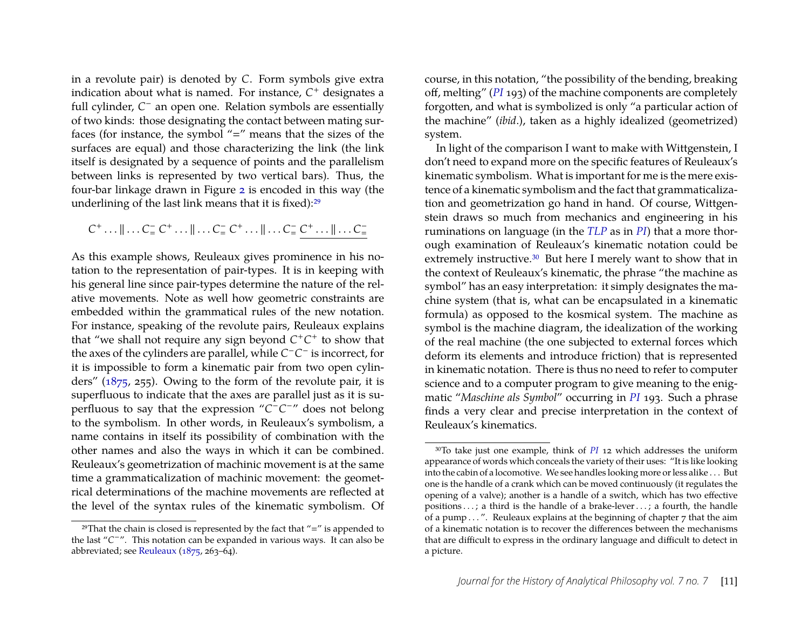in a revolute pair) is denoted by *C*. Form symbols give extra indication about what is named. For instance, *C* <sup>+</sup> designates a full cylinder, C<sup>−</sup> an open one. Relation symbols are essentially of two kinds: those designating the contact between mating surfaces (for instance, the symbol " $=$ " means that the sizes of the surfaces are equal) and those characterizing the link (the link itself is designated by a sequence of points and the parallelism between links is represented by two vertical bars). Thus, the four-bar linkage drawn in Figure [2](#page-10-0) is encoded in this way (the underlining of the last link means that it is fixed):[29](#page-11-0)

## $C^+ \dots \|\dots C^-_- C^+ \dots \| \dots C^-_- C^+ \dots \| \dots C^-_- C^+ \dots \| \dots C^-_-$

As this example shows, Reuleaux gives prominence in his notation to the representation of pair-types. It is in keeping with his general line since pair-types determine the nature of the relative movements. Note as well how geometric constraints are embedded within the grammatical rules of the new notation. For instance, speaking of the revolute pairs, Reuleaux explains that "we shall not require any sign beyond  $C^+C^+$  to show that the axes of the cylinders are parallel, while  $C$ <sup>−</sup> *C*<sup>−</sup> is incorrect, for it is impossible to form a kinematic pair from two open cylinders" [\(1875,](#page-17-8) 255). Owing to the form of the revolute pair, it is superfluous to indicate that the axes are parallel just as it is superfluous to say that the expression "C<sup>−</sup>C<sup>-</sup>" does not belong to the symbolism. In other words, in Reuleaux's symbolism, a name contains in itself its possibility of combination with the other names and also the ways in which it can be combined. Reuleaux's geometrization of machinic movement is at the same time a grammaticalization of machinic movement: the geometrical determinations of the machine movements are reflected at the level of the syntax rules of the kinematic symbolism. Of course, in this notation, "the possibility of the bending, breaking off, melting" (*[PI](#page-18-0)* 193) of the machine components are completely forgotten, and what is symbolized is only "a particular action of the machine" (*ibid*.), taken as a highly idealized (geometrized) system.

In light of the comparison I want to make with Wittgenstein, I don't need to expand more on the specific features of Reuleaux's kinematic symbolism. What is important for me is the mere existence of a kinematic symbolism and the fact that grammaticalization and geometrization go hand in hand. Of course, Wittgenstein draws so much from mechanics and engineering in his ruminations on language (in the *[TLP](#page-18-11)* as in *[PI](#page-18-0)*) that a more thorough examination of Reuleaux's kinematic notation could be extremely instructive.<sup>[30](#page-11-1)</sup> But here I merely want to show that in the context of Reuleaux's kinematic, the phrase "the machine as symbol" has an easy interpretation: it simply designates the machine system (that is, what can be encapsulated in a kinematic formula) as opposed to the kosmical system. The machine as symbol is the machine diagram, the idealization of the working of the real machine (the one subjected to external forces which deform its elements and introduce friction) that is represented in kinematic notation. There is thus no need to refer to computer science and to a computer program to give meaning to the enigmatic "*Maschine als Symbol*" occurring in *[PI](#page-18-0)* 193. Such a phrase finds a very clear and precise interpretation in the context of Reuleaux's kinematics.

<span id="page-11-0"></span> $29$ That the chain is closed is represented by the fact that "=" is appended to the last "*C* <sup>−</sup>". This notation can be expanded in various ways. It can also be abbreviated; see [Reuleaux](#page-17-8) [\(1875,](#page-17-8) 263–64).

<span id="page-11-1"></span><sup>30</sup>To take just one example, think of *[PI](#page-18-0)* 12 which addresses the uniform appearance of words which conceals the variety of their uses: "It is like looking into the cabin of a locomotive. We see handles looking more or less alike . . . But one is the handle of a crank which can be moved continuously (it regulates the opening of a valve); another is a handle of a switch, which has two effective positions . . . ; a third is the handle of a brake-lever . . . ; a fourth, the handle of a pump . . . ". Reuleaux explains at the beginning of chapter 7 that the aim of a kinematic notation is to recover the differences between the mechanisms that are difficult to express in the ordinary language and difficult to detect in a picture.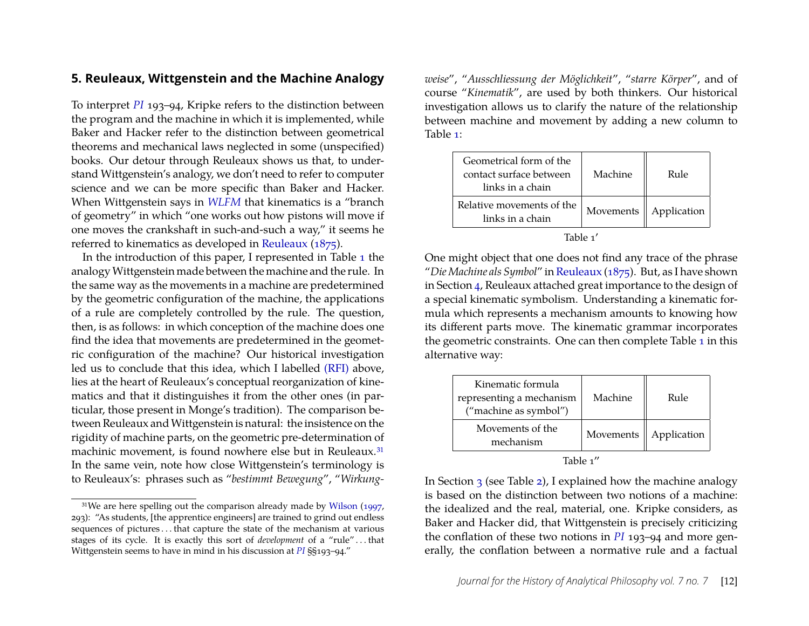#### <span id="page-12-1"></span>**5. Reuleaux, Wittgenstein and the Machine Analogy**

To interpret *[PI](#page-18-0)* 193–94, Kripke refers to the distinction between the program and the machine in which it is implemented, while Baker and Hacker refer to the distinction between geometrical theorems and mechanical laws neglected in some (unspecified) books. Our detour through Reuleaux shows us that, to understand Wittgenstein's analogy, we don't need to refer to computer science and we can be more specific than Baker and Hacker. When Wittgenstein says in *[WLFM](#page-18-10)* that kinematics is a "branch of geometry" in which "one works out how pistons will move if one moves the crankshaft in such-and-such a way," it seems he referred to kinematics as developed in [Reuleaux](#page-17-8) [\(1875\)](#page-17-8).

In the introduction of this paper, I represented in Table [1](#page-1-1) the analogyWittgenstein made between the machine and the rule. In the same way as the movements in a machine are predetermined by the geometric configuration of the machine, the applications of a rule are completely controlled by the rule. The question, then, is as follows: in which conception of the machine does one find the idea that movements are predetermined in the geometric configuration of the machine? Our historical investigation led us to conclude that this idea, which I labelled [\(RFI\)](#page-8-0) above, lies at the heart of Reuleaux's conceptual reorganization of kinematics and that it distinguishes it from the other ones (in particular, those present in Monge's tradition). The comparison between Reuleaux and Wittgenstein is natural: the insistence on the rigidity of machine parts, on the geometric pre-determination of machinic movement, is found nowhere else but in Reuleaux.<sup>[31](#page-12-0)</sup> In the same vein, note how close Wittgenstein's terminology is to Reuleaux's: phrases such as "*bestimmt Bewegung*", "*Wirkung-*

*weise*", "*Ausschliessung der Möglichkeit*", "*starre Körper*", and of course "*Kinematik*", are used by both thinkers. Our historical investigation allows us to clarify the nature of the relationship between machine and movement by adding a new column to Table [1:](#page-1-1)

| Geometrical form of the<br>contact surface between<br>links in a chain | Machine   | Rule        |
|------------------------------------------------------------------------|-----------|-------------|
| Relative movements of the<br>links in a chain                          | Movements | Application |

Table 1′

One might object that one does not find any trace of the phrase "*Die Machine als Symbol*" in [Reuleaux](#page-17-8) [\(1875\)](#page-17-8). But, as I have shown in Section [4,](#page-9-1) Reuleaux attached great importance to the design of a special kinematic symbolism. Understanding a kinematic formula which represents a mechanism amounts to knowing how its different parts move. The kinematic grammar incorporates the geometric constraints. One can then complete Table [1](#page-1-1) in this alternative way:

| Kinematic formula<br>representing a mechanism<br>("machine as symbol") | Machine   | Rule        |
|------------------------------------------------------------------------|-----------|-------------|
| Movements of the<br>mechanism                                          | Movements | Application |
|                                                                        |           |             |

Table 1′′

In Section [3](#page-5-0) (see Table [2\)](#page-2-0), I explained how the machine analogy is based on the distinction between two notions of a machine: the idealized and the real, material, one. Kripke considers, as Baker and Hacker did, that Wittgenstein is precisely criticizing the conflation of these two notions in *[PI](#page-18-0)* 193–94 and more generally, the conflation between a normative rule and a factual

<span id="page-12-0"></span><sup>&</sup>lt;sup>31</sup>We are here spelling out the comparison already made by [Wilson](#page-18-2) [\(1997,](#page-18-2) 293): "As students, [the apprentice engineers] are trained to grind out endless sequences of pictures . . . that capture the state of the mechanism at various stages of its cycle. It is exactly this sort of *development* of a "rule" . . . that Wittgenstein seems to have in mind in his discussion at *[PI](#page-18-0)* §§193–94."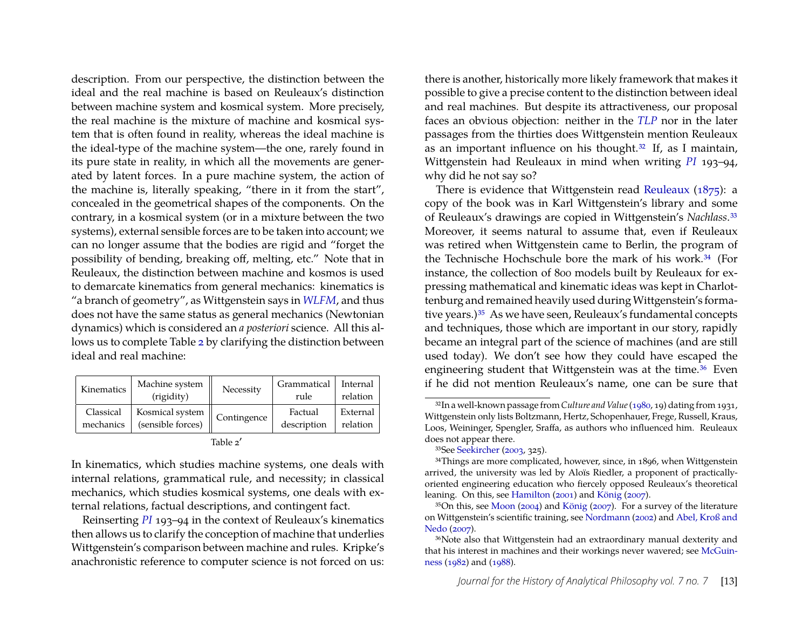description. From our perspective, the distinction between the ideal and the real machine is based on Reuleaux's distinction between machine system and kosmical system. More precisely, the real machine is the mixture of machine and kosmical system that is often found in reality, whereas the ideal machine is the ideal-type of the machine system—the one, rarely found in its pure state in reality, in which all the movements are generated by latent forces. In a pure machine system, the action of the machine is, literally speaking, "there in it from the start", concealed in the geometrical shapes of the components. On the contrary, in a kosmical system (or in a mixture between the two systems), external sensible forces are to be taken into account; we can no longer assume that the bodies are rigid and "forget the possibility of bending, breaking off, melting, etc." Note that in Reuleaux, the distinction between machine and kosmos is used to demarcate kinematics from general mechanics: kinematics is "a branch of geometry", as Wittgenstein says in *[WLFM](#page-18-10)*, and thus does not have the same status as general mechanics (Newtonian dynamics) which is considered an *a posteriori* science. All this allows us to complete Table [2](#page-2-0) by clarifying the distinction between ideal and real machine:

| Kinematics | Machine system<br>(rigidity)              | Necessity   | Grammatical<br>rule | Internal<br>relation |
|------------|-------------------------------------------|-------------|---------------------|----------------------|
| Classical  | $\frac{1}{1}$ Kosmical system $\parallel$ | Contingence | Factual             | External             |
| mechanics  | (sensible forces)                         |             | description         | relation             |

| г |  |
|---|--|
|---|--|

In kinematics, which studies machine systems, one deals with internal relations, grammatical rule, and necessity; in classical mechanics, which studies kosmical systems, one deals with external relations, factual descriptions, and contingent fact.

Reinserting *[PI](#page-18-0)* 193–94 in the context of Reuleaux's kinematics then allows us to clarify the conception of machine that underlies Wittgenstein's comparison between machine and rules. Kripke's anachronistic reference to computer science is not forced on us:

there is another, historically more likely framework that makes it possible to give a precise content to the distinction between ideal and real machines. But despite its attractiveness, our proposal faces an obvious objection: neither in the *[TLP](#page-18-11)* nor in the later passages from the thirties does Wittgenstein mention Reuleaux as an important influence on his thought.[32](#page-13-0) If, as I maintain, Wittgenstein had Reuleaux in mind when writing *[PI](#page-18-0)* 193–94, why did he not say so?

There is evidence that Wittgenstein read [Reuleaux](#page-17-8) [\(1875\)](#page-17-8): a copy of the book was in Karl Wittgenstein's library and some of Reuleaux's drawings are copied in Wittgenstein's *Nachlass*.[33](#page-13-1) Moreover, it seems natural to assume that, even if Reuleaux was retired when Wittgenstein came to Berlin, the program of the Technische Hochschule bore the mark of his work.<sup>[34](#page-13-2)</sup> (For instance, the collection of 800 models built by Reuleaux for expressing mathematical and kinematic ideas was kept in Charlottenburg and remained heavily used during Wittgenstein's forma-tive years.)<sup>[35](#page-13-3)</sup> As we have seen, Reuleaux's fundamental concepts and techniques, those which are important in our story, rapidly became an integral part of the science of machines (and are still used today). We don't see how they could have escaped the engineering student that Wittgenstein was at the time.<sup>[36](#page-13-4)</sup> Even if he did not mention Reuleaux's name, one can be sure that

<span id="page-13-0"></span><sup>32</sup>In a well-known passage from *Culture and Value*[\(1980,](#page-18-16) 19) dating from 1931, Wittgenstein only lists Boltzmann, Hertz, Schopenhauer, Frege, Russell, Kraus, Loos, Weininger, Spengler, Sraffa, as authors who influenced him. Reuleaux does not appear there.

<span id="page-13-2"></span><span id="page-13-1"></span><sup>33</sup>See [Seekircher](#page-18-17) [\(2003,](#page-18-17) 325).

<sup>&</sup>lt;sup>34</sup>Things are more complicated, however, since, in 1896, when Wittgenstein arrived, the university was led by Aloïs Riedler, a proponent of practicallyoriented engineering education who fiercely opposed Reuleaux's theoretical leaning. On this, see [Hamilton](#page-17-12) [\(2001\)](#page-17-12) and [König](#page-17-13) [\(2007\)](#page-17-13).

<span id="page-13-3"></span><sup>35</sup>On this, see [Moon](#page-17-14) [\(2004\)](#page-17-14) and [König](#page-17-13) [\(2007\)](#page-17-13). For a survey of the literature on Wittgenstein's scientific training, see [Nordmann](#page-17-15) [\(2002\)](#page-17-15) and [Abel, Kroß and](#page-17-16) [Nedo](#page-17-16) [\(2007\)](#page-17-16).

<span id="page-13-4"></span><sup>36</sup>Note also that Wittgenstein had an extraordinary manual dexterity and that his interest in machines and their workings never wavered; see [McGuin](#page-17-17)[ness](#page-17-17) [\(1982\)](#page-17-17) and [\(1988\)](#page-17-18).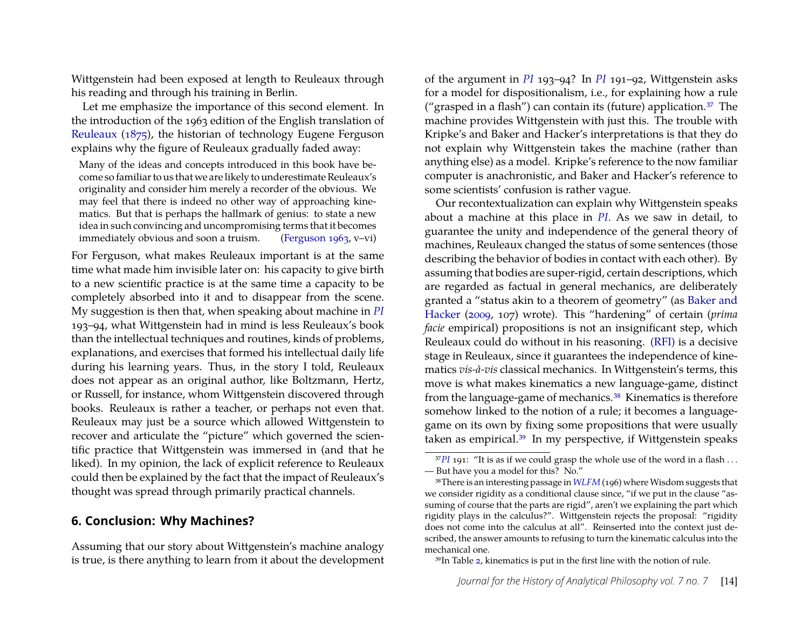Wittgenstein had been exposed at length to Reuleaux through his reading and through his training in Berlin.

Let me emphasize the importance of this second element. In the introduction of the 1963 edition of the English translation of [Reuleaux](#page-17-8) [\(1875\)](#page-17-8), the historian of technology Eugene Ferguson explains why the figure of Reuleaux gradually faded away:

Many of the ideas and concepts introduced in this book have become so familiar to us that we are likely to underestimate Reuleaux's originality and consider him merely a recorder of the obvious. We may feel that there is indeed no other way of approaching kinematics. But that is perhaps the hallmark of genius: to state a new idea in such convincing and uncompromising terms that it becomes immediately obvious and soon a truism. [\(Ferguson 1963,](#page-17-19) v–vi)

For Ferguson, what makes Reuleaux important is at the same time what made him invisible later on: his capacity to give birth to a new scientific practice is at the same time a capacity to be completely absorbed into it and to disappear from the scene. My suggestion is then that, when speaking about machine in *[PI](#page-18-0)* 193–94, what Wittgenstein had in mind is less Reuleaux's book than the intellectual techniques and routines, kinds of problems, explanations, and exercises that formed his intellectual daily life during his learning years. Thus, in the story I told, Reuleaux does not appear as an original author, like Boltzmann, Hertz, or Russell, for instance, whom Wittgenstein discovered through books. Reuleaux is rather a teacher, or perhaps not even that. Reuleaux may just be a source which allowed Wittgenstein to recover and articulate the "picture" which governed the scientific practice that Wittgenstein was immersed in (and that he liked). In my opinion, the lack of explicit reference to Reuleaux could then be explained by the fact that the impact of Reuleaux's thought was spread through primarily practical channels.

#### <span id="page-14-0"></span>**6. Conclusion: Why Machines?**

Assuming that our story about Wittgenstein's machine analogy is true, is there anything to learn from it about the development

of the argument in *[PI](#page-18-0)* 193–94? In *[PI](#page-18-0)* 191–92, Wittgenstein asks for a model for dispositionalism, i.e., for explaining how a rule ("grasped in a flash") can contain its (future) application. $37$  The machine provides Wittgenstein with just this. The trouble with Kripke's and Baker and Hacker's interpretations is that they do not explain why Wittgenstein takes the machine (rather than anything else) as a model. Kripke's reference to the now familiar computer is anachronistic, and Baker and Hacker's reference to some scientists' confusion is rather vague.

Our recontextualization can explain why Wittgenstein speaks about a machine at this place in *[PI](#page-18-0)*. As we saw in detail, to guarantee the unity and independence of the general theory of machines, Reuleaux changed the status of some sentences (those describing the behavior of bodies in contact with each other). By assuming that bodies are super-rigid, certain descriptions, which are regarded as factual in general mechanics, are deliberately granted a "status akin to a theorem of geometry" (as [Baker and](#page-17-1) [Hacker](#page-17-1) [\(2009,](#page-17-1) 107) wrote). This "hardening" of certain (*prima facie* empirical) propositions is not an insignificant step, which Reuleaux could do without in his reasoning. [\(RFI\)](#page-8-0) is a decisive stage in Reuleaux, since it guarantees the independence of kinematics *vis-à-vis* classical mechanics. In Wittgenstein's terms, this move is what makes kinematics a new language-game, distinct from the language-game of mechanics.[38](#page-14-2) Kinematics is therefore somehow linked to the notion of a rule; it becomes a languagegame on its own by fixing some propositions that were usually taken as empirical.[39](#page-14-3) In my perspective, if Wittgenstein speaks

<span id="page-14-1"></span><sup>&</sup>lt;sup>37</sup>*[PI](#page-18-0)* 191: "It is as if we could grasp the whole use of the word in a flash ... — But have you a model for this? No."

<span id="page-14-2"></span><sup>&</sup>lt;sup>38</sup>There is an interesting passage in [WLFM](#page-18-10) (196) where Wisdom suggests that we consider rigidity as a conditional clause since, "if we put in the clause "assuming of course that the parts are rigid", aren't we explaining the part which rigidity plays in the calculus?". Wittgenstein rejects the proposal: "rigidity does not come into the calculus at all". Reinserted into the context just described, the answer amounts to refusing to turn the kinematic calculus into the mechanical one.

<span id="page-14-3"></span><sup>39</sup>In Table [2,](#page-2-0) kinematics is put in the first line with the notion of rule.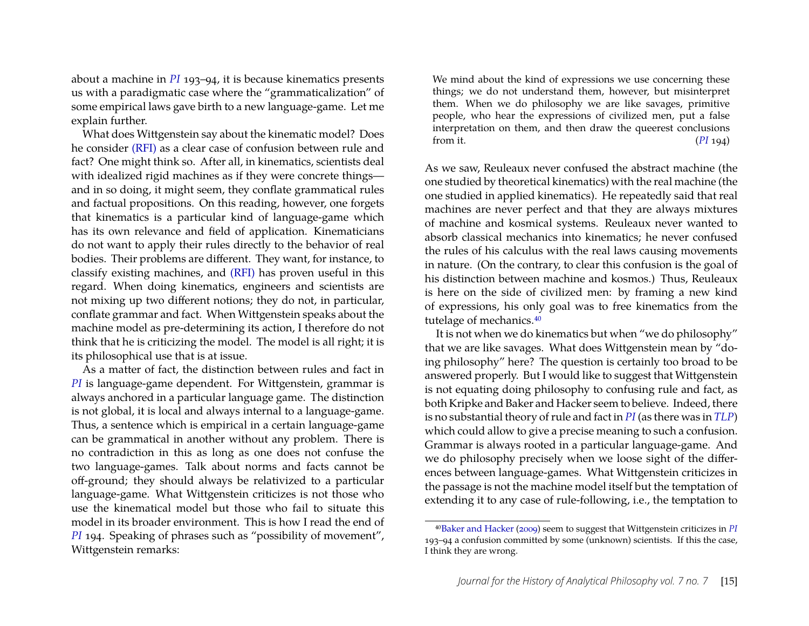about a machine in *[PI](#page-18-0)* 193–94, it is because kinematics presents us with a paradigmatic case where the "grammaticalization" of some empirical laws gave birth to a new language-game. Let me explain further.

What does Wittgenstein say about the kinematic model? Does he consider [\(RFI\)](#page-8-0) as a clear case of confusion between rule and fact? One might think so. After all, in kinematics, scientists deal with idealized rigid machines as if they were concrete things and in so doing, it might seem, they conflate grammatical rules and factual propositions. On this reading, however, one forgets that kinematics is a particular kind of language-game which has its own relevance and field of application. Kinematicians do not want to apply their rules directly to the behavior of real bodies. Their problems are different. They want, for instance, to classify existing machines, and [\(RFI\)](#page-8-0) has proven useful in this regard. When doing kinematics, engineers and scientists are not mixing up two different notions; they do not, in particular, conflate grammar and fact. When Wittgenstein speaks about the machine model as pre-determining its action, I therefore do not think that he is criticizing the model. The model is all right; it is its philosophical use that is at issue.

As a matter of fact, the distinction between rules and fact in *[PI](#page-18-0)* is language-game dependent. For Wittgenstein, grammar is always anchored in a particular language game. The distinction is not global, it is local and always internal to a language-game. Thus, a sentence which is empirical in a certain language-game can be grammatical in another without any problem. There is no contradiction in this as long as one does not confuse the two language-games. Talk about norms and facts cannot be off-ground; they should always be relativized to a particular language-game. What Wittgenstein criticizes is not those who use the kinematical model but those who fail to situate this model in its broader environment. This is how I read the end of *[PI](#page-18-0)* 194. Speaking of phrases such as "possibility of movement", Wittgenstein remarks:

We mind about the kind of expressions we use concerning these things; we do not understand them, however, but misinterpret them. When we do philosophy we are like savages, primitive people, who hear the expressions of civilized men, put a false interpretation on them, and then draw the queerest conclusions from it. (*[PI](#page-18-0)* 194)

As we saw, Reuleaux never confused the abstract machine (the one studied by theoretical kinematics) with the real machine (the one studied in applied kinematics). He repeatedly said that real machines are never perfect and that they are always mixtures of machine and kosmical systems. Reuleaux never wanted to absorb classical mechanics into kinematics; he never confused the rules of his calculus with the real laws causing movements in nature. (On the contrary, to clear this confusion is the goal of his distinction between machine and kosmos.) Thus, Reuleaux is here on the side of civilized men: by framing a new kind of expressions, his only goal was to free kinematics from the tutelage of mechanics.<sup>[40](#page-15-0)</sup>

It is not when we do kinematics but when "we do philosophy" that we are like savages. What does Wittgenstein mean by "doing philosophy" here? The question is certainly too broad to be answered properly. But I would like to suggest that Wittgenstein is not equating doing philosophy to confusing rule and fact, as both Kripke and Baker and Hacker seem to believe. Indeed, there is no substantial theory of rule and fact in *[PI](#page-18-0)* (as there was in *[TLP](#page-18-11)*) which could allow to give a precise meaning to such a confusion. Grammar is always rooted in a particular language-game. And we do philosophy precisely when we loose sight of the differences between language-games. What Wittgenstein criticizes in the passage is not the machine model itself but the temptation of extending it to any case of rule-following, i.e., the temptation to

<span id="page-15-0"></span><sup>40</sup>[Baker and Hacker](#page-17-1) [\(2009\)](#page-17-1) seem to suggest that Wittgenstein criticizes in *[PI](#page-18-0)* 193–94 a confusion committed by some (unknown) scientists. If this the case, I think they are wrong.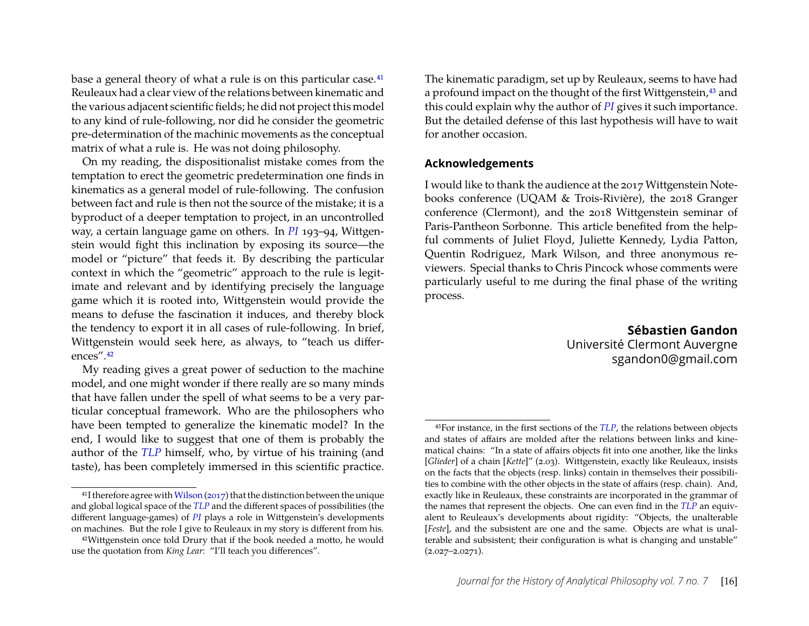base a general theory of what a rule is on this particular case.<sup>[41](#page-16-0)</sup> Reuleaux had a clear view of the relations between kinematic and the various adjacent scientific fields; he did not project this model to any kind of rule-following, nor did he consider the geometric pre-determination of the machinic movements as the conceptual matrix of what a rule is. He was not doing philosophy.

On my reading, the dispositionalist mistake comes from the temptation to erect the geometric predetermination one finds in kinematics as a general model of rule-following. The confusion between fact and rule is then not the source of the mistake; it is a byproduct of a deeper temptation to project, in an uncontrolled way, a certain language game on others. In *[PI](#page-18-0)* 193–94, Wittgenstein would fight this inclination by exposing its source—the model or "picture" that feeds it. By describing the particular context in which the "geometric" approach to the rule is legitimate and relevant and by identifying precisely the language game which it is rooted into, Wittgenstein would provide the means to defuse the fascination it induces, and thereby block the tendency to export it in all cases of rule-following. In brief, Wittgenstein would seek here, as always, to "teach us differences".[42](#page-16-1)

My reading gives a great power of seduction to the machine model, and one might wonder if there really are so many minds that have fallen under the spell of what seems to be a very particular conceptual framework. Who are the philosophers who have been tempted to generalize the kinematic model? In the end, I would like to suggest that one of them is probably the author of the *[TLP](#page-18-11)* himself, who, by virtue of his training (and taste), has been completely immersed in this scientific practice. The kinematic paradigm, set up by Reuleaux, seems to have had a profound impact on the thought of the first Wittgenstein,<sup>[43](#page-16-2)</sup> and this could explain why the author of *[PI](#page-18-0)* gives it such importance. But the detailed defense of this last hypothesis will have to wait for another occasion.

#### **Acknowledgements**

I would like to thank the audience at the 2017 Wittgenstein Notebooks conference (UQAM & Trois-Rivière), the 2018 Granger conference (Clermont), and the 2018 Wittgenstein seminar of Paris-Pantheon Sorbonne. This article benefited from the helpful comments of Juliet Floyd, Juliette Kennedy, Lydia Patton, Quentin Rodriguez, Mark Wilson, and three anonymous reviewers. Special thanks to Chris Pincock whose comments were particularly useful to me during the final phase of the writing process.

> **Sébastien Gandon** Université Clermont Auvergne sgandon0@gmail.com

<span id="page-16-0"></span> $41$ I therefore agree with [Wilson](#page-18-3) [\(2017\)](#page-18-3) that the distinction between the unique and global logical space of the *[TLP](#page-18-11)* and the different spaces of possibilities (the different language-games) of *[PI](#page-18-0)* plays a role in Wittgenstein's developments on machines. But the role I give to Reuleaux in my story is different from his.

<span id="page-16-1"></span><sup>42</sup>Wittgenstein once told Drury that if the book needed a motto, he would use the quotation from *King Lear*: "I'll teach you differences".

<span id="page-16-2"></span><sup>43</sup>For instance, in the first sections of the *[TLP](#page-18-11)*, the relations between objects and states of affairs are molded after the relations between links and kinematical chains: "In a state of affairs objects fit into one another, like the links [*Glieder*] of a chain [*Kette*]" (2.03). Wittgenstein, exactly like Reuleaux, insists on the facts that the objects (resp. links) contain in themselves their possibilities to combine with the other objects in the state of affairs (resp. chain). And, exactly like in Reuleaux, these constraints are incorporated in the grammar of the names that represent the objects. One can even find in the *[TLP](#page-18-11)* an equivalent to Reuleaux's developments about rigidity: "Objects, the unalterable [*Feste*], and the subsistent are one and the same. Objects are what is unalterable and subsistent; their configuration is what is changing and unstable"  $(2.027 - 2.0271)$ .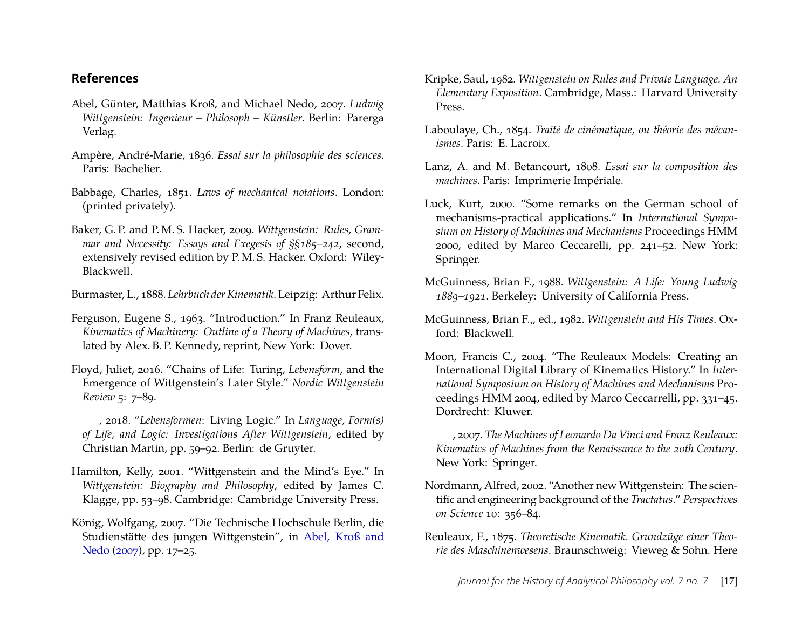#### **References**

- <span id="page-17-16"></span>Abel, Günter, Matthias Kroß, and Michael Nedo, 2007. *Ludwig Wittgenstein: Ingenieur – Philosoph – Künstler*. Berlin: Parerga Verlag.
- <span id="page-17-6"></span>Ampère, André-Marie, 1836. *Essai sur la philosophie des sciences*. Paris: Bachelier.
- <span id="page-17-11"></span>Babbage, Charles, 1851. *Laws of mechanical notations*. London: (printed privately).
- <span id="page-17-1"></span>Baker, G. P. and P. M. S. Hacker, 2009. *Wittgenstein: Rules, Grammar and Necessity: Essays and Exegesis of §§185–242*, second, extensively revised edition by P. M. S. Hacker. Oxford: Wiley-Blackwell.
- <span id="page-17-9"></span>Burmaster, L., 1888. *Lehrbuch der Kinematik*. Leipzig: Arthur Felix.
- <span id="page-17-19"></span>Ferguson, Eugene S., 1963. "Introduction." In Franz Reuleaux, *Kinematics of Machinery: Outline of a Theory of Machines,* translated by Alex. B. P. Kennedy, reprint, New York: Dover.
- <span id="page-17-2"></span>Floyd, Juliet, 2016. "Chains of Life: Turing, *Lebensform*, and the Emergence of Wittgenstein's Later Style." *Nordic Wittgenstein Review* 5: 7–89.
- <span id="page-17-3"></span>, 2018. "*Lebensformen*: Living Logic." In *Language, Form(s) of Life, and Logic: Investigations After Wittgenstein*, edited by Christian Martin, pp. 59–92. Berlin: de Gruyter.
- <span id="page-17-12"></span>Hamilton, Kelly, 2001. "Wittgenstein and the Mind's Eye." In *Wittgenstein: Biography and Philosophy*, edited by James C. Klagge, pp. 53–98. Cambridge: Cambridge University Press.
- <span id="page-17-13"></span>König, Wolfgang, 2007. "Die Technische Hochschule Berlin, die Studienstätte des jungen Wittgenstein", in [Abel, Kroß and](#page-17-16) [Nedo](#page-17-16) [\(2007\)](#page-17-16), pp. 17–25.
- <span id="page-17-0"></span>Kripke, Saul, 1982. *Wittgenstein on Rules and Private Language. An Elementary Exposition*. Cambridge, Mass.: Harvard University Press.
- <span id="page-17-7"></span>Laboulaye, Ch., 1854. *Traité de cinématique, ou théorie des mécanismes*. Paris: E. Lacroix.
- <span id="page-17-5"></span>Lanz, A. and M. Betancourt, 1808. *Essai sur la composition des machines*. Paris: Imprimerie Impériale.
- <span id="page-17-10"></span>Luck, Kurt, 2000. "Some remarks on the German school of mechanisms-practical applications." In *International Symposium on History of Machines and Mechanisms* Proceedings HMM 2000, edited by Marco Ceccarelli, pp. 241–52. New York: Springer.
- <span id="page-17-18"></span>McGuinness, Brian F., 1988. *Wittgenstein: A Life: Young Ludwig 1889–1921*. Berkeley: University of California Press.
- <span id="page-17-17"></span>McGuinness, Brian F." ed., 1982. *Wittgenstein and His Times*. Oxford: Blackwell.
- <span id="page-17-14"></span>Moon, Francis C., 2004. "The Reuleaux Models: Creating an International Digital Library of Kinematics History." In *International Symposium on History of Machines and Mechanisms* Proceedings HMM 2004, edited by Marco Ceccarrelli, pp. 331–45. Dordrecht: Kluwer.
- <span id="page-17-4"></span>, 2007. *The Machines of Leonardo Da Vinci and Franz Reuleaux: Kinematics of Machines from the Renaissance to the 20th Century*. New York: Springer.
- <span id="page-17-15"></span>Nordmann, Alfred, 2002. "Another new Wittgenstein: The scientific and engineering background of the *Tractatus*." *Perspectives on Science* 10: 356–84.
- <span id="page-17-8"></span>Reuleaux, F., 1875. *Theoretische Kinematik. Grundzüge einer Theorie des Maschinenwesens*. Braunschweig: Vieweg & Sohn. Here